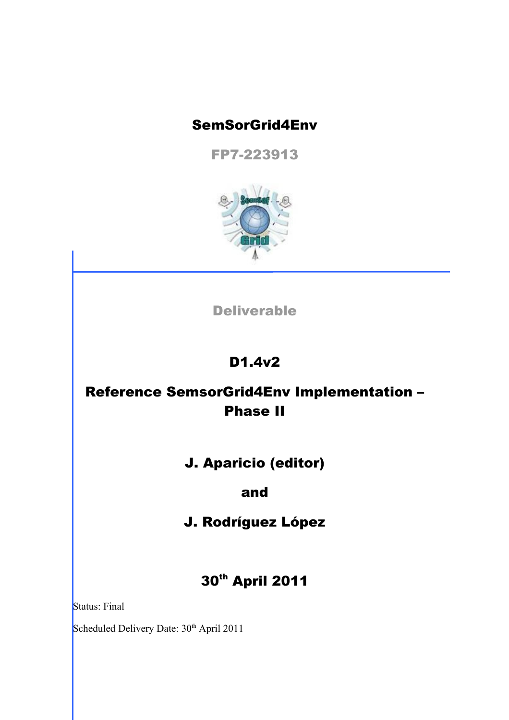#### SemSorGrid4Env

FP7-223913



Deliverable

# D1.4v2

# Reference SemsorGrid4Env Implementation – Phase II

## J. Aparicio (editor)

#### and

## J. Rodríguez López

# 30<sup>th</sup> April 2011

Status: Final

Scheduled Delivery Date: 30<sup>th</sup> April 2011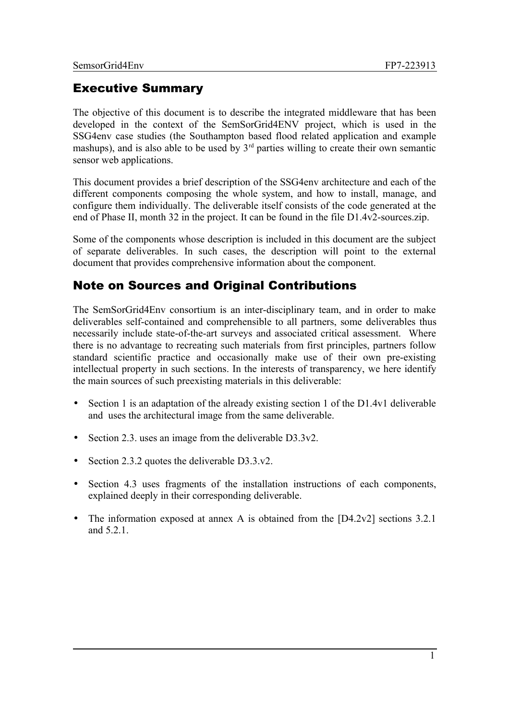#### Executive Summary

The objective of this document is to describe the integrated middleware that has been developed in the context of the SemSorGrid4ENV project, which is used in the SSG4env case studies (the Southampton based flood related application and example mashups), and is also able to be used by  $3<sup>rd</sup>$  parties willing to create their own semantic sensor web applications.

This document provides a brief description of the SSG4env architecture and each of the different components composing the whole system, and how to install, manage, and configure them individually. The deliverable itself consists of the code generated at the end of Phase II, month 32 in the project. It can be found in the file D1.4v2-sources.zip.

Some of the components whose description is included in this document are the subject of separate deliverables. In such cases, the description will point to the external document that provides comprehensive information about the component.

#### Note on Sources and Original Contributions

The SemSorGrid4Env consortium is an inter-disciplinary team, and in order to make deliverables self-contained and comprehensible to all partners, some deliverables thus necessarily include state-of-the-art surveys and associated critical assessment. Where there is no advantage to recreating such materials from first principles, partners follow standard scientific practice and occasionally make use of their own pre-existing intellectual property in such sections. In the interests of transparency, we here identify the main sources of such preexisting materials in this deliverable:

- Section 1 is an adaptation of the already existing section 1 of the D1.4v1 deliverable and uses the architectural image from the same deliverable.
- Section 2.3. uses an image from the deliverable D3.3v2.
- Section 2.3.2 quotes the deliverable D3.3.v2.
- Section 4.3 uses fragments of the installation instructions of each components, explained deeply in their corresponding deliverable.
- The information exposed at annex A is obtained from the [D4.2v2] sections 3.2.1 and  $5.2.1$ .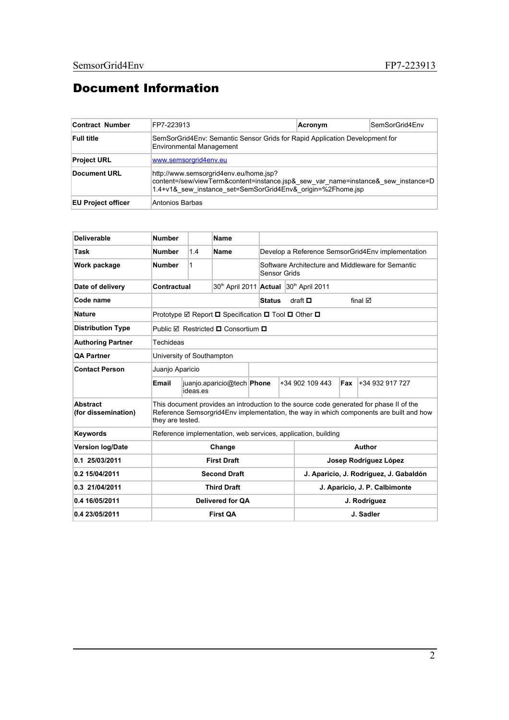## Document Information

| Contract Number           | FP7-223913                                                                                                                                                                                 | Acronym | SemSorGrid4Env |
|---------------------------|--------------------------------------------------------------------------------------------------------------------------------------------------------------------------------------------|---------|----------------|
| <b>Full title</b>         | SemSorGrid4Env: Semantic Sensor Grids for Rapid Application Development for<br><b>Environmental Management</b>                                                                             |         |                |
| <b>Project URL</b>        | www.semsorgrid4env.eu                                                                                                                                                                      |         |                |
| Document URL              | http://www.semsorgrid4env.eu/home.jsp?<br>content=/sew/viewTerm&content=instance.jsp& sew var name=instance& sew instance=D<br>1.4+v1& sew instance set=SemSorGrid4Env& origin=%2Fhome.jsp |         |                |
| <b>EU Project officer</b> | Antonios Barbas                                                                                                                                                                            |         |                |

| <b>Deliverable</b>              | <b>Number</b>                                                                                                                                                                                         |                    | <b>Name</b>                            |                       |                                        |                 |     |                                                   |
|---------------------------------|-------------------------------------------------------------------------------------------------------------------------------------------------------------------------------------------------------|--------------------|----------------------------------------|-----------------------|----------------------------------------|-----------------|-----|---------------------------------------------------|
| Task                            | <b>Number</b>                                                                                                                                                                                         | 1.4                | Name                                   |                       |                                        |                 |     | Develop a Reference SemsorGrid4Env implementation |
| Work package                    | <b>Number</b>                                                                                                                                                                                         | 1                  |                                        | Sensor Grids          |                                        |                 |     | Software Architecture and Middleware for Semantic |
| Date of delivery                | Contractual                                                                                                                                                                                           |                    |                                        |                       | 30th April 2011 Actual 30th April 2011 |                 |     |                                                   |
| Code name                       | draft $\Box$<br>final $\boxtimes$<br><b>Status</b>                                                                                                                                                    |                    |                                        |                       |                                        |                 |     |                                                   |
| <b>Nature</b>                   | Prototype ⊠ Report <b>□</b> Specification ■ Tool ■ Other ■                                                                                                                                            |                    |                                        |                       |                                        |                 |     |                                                   |
| <b>Distribution Type</b>        | Public <b>Ø</b> Restricted <b>□</b> Consortium □                                                                                                                                                      |                    |                                        |                       |                                        |                 |     |                                                   |
| <b>Authoring Partner</b>        | Techideas                                                                                                                                                                                             |                    |                                        |                       |                                        |                 |     |                                                   |
| <b>QA Partner</b>               | University of Southampton                                                                                                                                                                             |                    |                                        |                       |                                        |                 |     |                                                   |
| <b>Contact Person</b>           | Juanjo Aparicio                                                                                                                                                                                       |                    |                                        |                       |                                        |                 |     |                                                   |
|                                 | Email                                                                                                                                                                                                 | ideas es           | juanjo.aparicio@tech Phone             |                       |                                        | +34 902 109 443 | Fax | +34 932 917 727                                   |
| Abstract<br>(for dissemination) | This document provides an introduction to the source code generated for phase II of the<br>Reference Semsorgrid4Env implementation, the way in which components are built and how<br>they are tested. |                    |                                        |                       |                                        |                 |     |                                                   |
| Keywords                        | Reference implementation, web services, application, building                                                                                                                                         |                    |                                        |                       |                                        |                 |     |                                                   |
| <b>Version log/Date</b>         |                                                                                                                                                                                                       | Change             |                                        | Author                |                                        |                 |     |                                                   |
| 0.1 25/03/2011                  |                                                                                                                                                                                                       | <b>First Draft</b> |                                        | Josep Rodríguez López |                                        |                 |     |                                                   |
| 0.2 15/04/2011                  | <b>Second Draft</b>                                                                                                                                                                                   |                    | J. Aparicio, J. Rodríguez, J. Gabaldón |                       |                                        |                 |     |                                                   |
| 0.3 21/04/2011                  | <b>Third Draft</b>                                                                                                                                                                                    |                    | J. Aparicio, J. P. Calbimonte          |                       |                                        |                 |     |                                                   |
| 0.4 16/05/2011                  | Delivered for QA                                                                                                                                                                                      |                    | J. Rodríguez                           |                       |                                        |                 |     |                                                   |
| 0.4 23/05/2011                  | <b>First QA</b>                                                                                                                                                                                       |                    | J. Sadler                              |                       |                                        |                 |     |                                                   |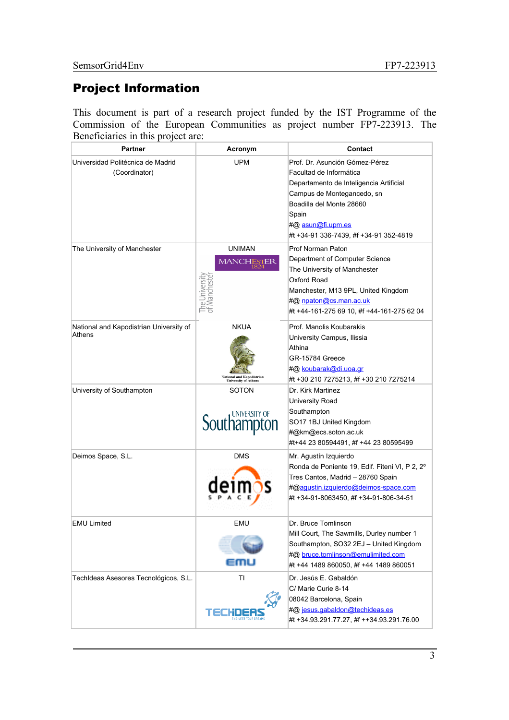#### Project Information

This document is part of a research project funded by the IST Programme of the Commission of the European Communities as project number FP7-223913. The Beneficiaries in this project are:

| <b>Partner</b>                                     | Acronym                                                                  | Contact                                                                                                                                                                                                                                |  |  |
|----------------------------------------------------|--------------------------------------------------------------------------|----------------------------------------------------------------------------------------------------------------------------------------------------------------------------------------------------------------------------------------|--|--|
| Universidad Politécnica de Madrid<br>(Coordinator) | <b>UPM</b>                                                               | Prof. Dr. Asunción Gómez-Pérez<br>Facultad de Informática<br>Departamento de Inteligencia Artificial<br>Campus de Montegancedo, sn<br>Boadilla del Monte 28660<br>Spain<br>#@ asun@fi.upm.es<br>#t +34-91 336-7439, #f +34-91 352-4819 |  |  |
| The University of Manchester                       | <b>UNIMAN</b><br>MANCHESTER<br>The Universit<br>of Mancheste             | Prof Norman Paton<br>Department of Computer Science<br>The University of Manchester<br>Oxford Road<br>Manchester, M13 9PL, United Kingdom<br>#@ npaton@cs.man.ac.uk<br>#t +44-161-275 69 10, #f +44-161-275 62 04                      |  |  |
| National and Kapodistrian University of<br>Athens  | <b>NKUA</b><br><b>National and Kapodistrian<br/>University of Athens</b> | Prof. Manolis Koubarakis<br>University Campus, Ilissia<br>Athina<br>GR-15784 Greece<br>#@ koubarak@di.uoa.gr<br>#t +30 210 7275213, #f +30 210 7275214                                                                                 |  |  |
| University of Southampton                          | <b>SOTON</b><br><b>Southampton</b>                                       | Dr. Kirk Martinez<br>University Road<br>Southampton<br>SO17 1BJ United Kingdom<br>#@km@ecs.soton.ac.uk<br>#t+44 23 80594491, #f +44 23 80595499                                                                                        |  |  |
| Deimos Space, S.L.                                 | <b>DMS</b>                                                               | Mr. Agustín Izquierdo<br>Ronda de Poniente 19, Edif. Fiteni VI, P 2, 2°<br>Tres Cantos, Madrid - 28760 Spain<br>#@agustin.izquierdo@deimos-space.com<br>#t +34-91-8063450, #f +34-91-806-34-51                                         |  |  |
| EMU Limited                                        | EMU                                                                      | Dr. Bruce Tomlinson<br>Mill Court, The Sawmills, Durley number 1<br>Southampton, SO32 2EJ - United Kingdom<br>#@ bruce.tomlinson@emulimited.com<br>#t +44 1489 860050, #f +44 1489 860051                                              |  |  |
| TechIdeas Asesores Tecnológicos, S.L.              | TI                                                                       | Dr. Jesús E. Gabaldón<br>C/ Marie Curie 8-14<br>08042 Barcelona, Spain<br>#@ jesus.gabaldon@techideas.es<br>#t +34.93.291.77.27, #f ++34.93.291.76.00                                                                                  |  |  |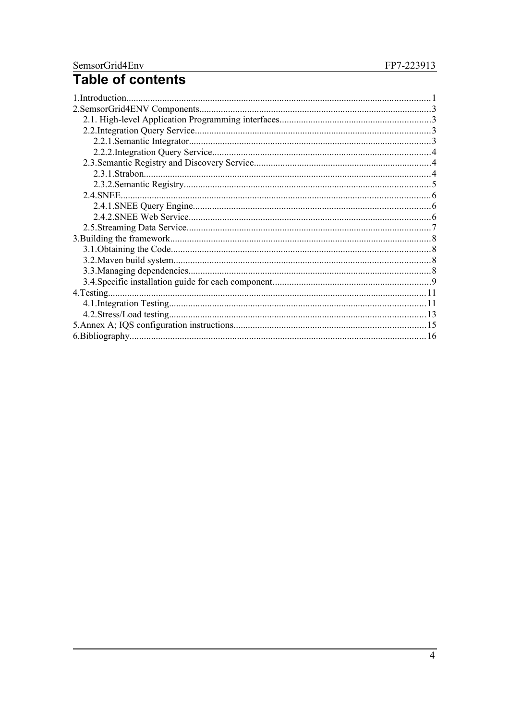# SemsorGrid4Env<br>Table of contents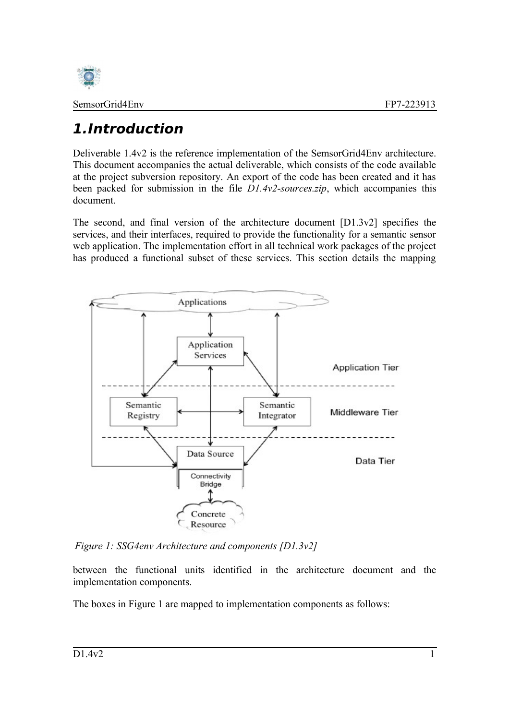

# <span id="page-5-0"></span>**1.Introduction**

Deliverable 1.4v2 is the reference implementation of the SemsorGrid4Env architecture. This document accompanies the actual deliverable, which consists of the code available at the project subversion repository. An export of the code has been created and it has been packed for submission in the file *D1.4v2-sources.zip*, which accompanies this document.

The second, and final version of the architecture document [D1.3v2] specifies the services, and their interfaces, required to provide the functionality for a semantic sensor web application. The implementation effort in all technical work packages of the project has produced a functional subset of these services. This section details the mapping



<span id="page-5-1"></span>*Figure 1: SSG4env Architecture and components [D1.3v2]*

between the functional units identified in the architecture document and the implementation components.

The boxes in [Figure 1](#page-5-1) are mapped to implementation components as follows: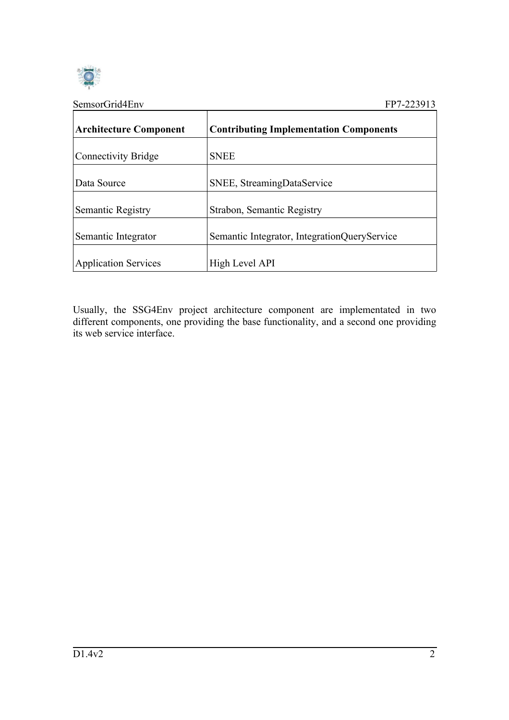

| SemsorGrid4Env                | FP7-223913                                    |
|-------------------------------|-----------------------------------------------|
| <b>Architecture Component</b> | <b>Contributing Implementation Components</b> |
| <b>Connectivity Bridge</b>    | <b>SNEE</b>                                   |
| Data Source                   | SNEE, StreamingDataService                    |
| Semantic Registry             | Strabon, Semantic Registry                    |
| Semantic Integrator           | Semantic Integrator, IntegrationQueryService  |
| <b>Application Services</b>   | High Level API                                |

Usually, the SSG4Env project architecture component are implementated in two different components, one providing the base functionality, and a second one providing its web service interface.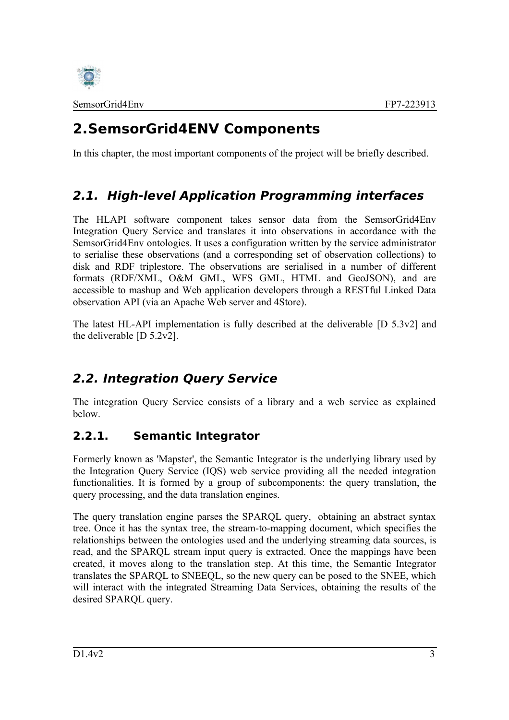

# <span id="page-7-3"></span>**2.SemsorGrid4ENV Components**

In this chapter, the most important components of the project will be briefly described.

## <span id="page-7-2"></span>**2.1. High-level Application Programming interfaces**

The HLAPI software component takes sensor data from the SemsorGrid4Env Integration Query Service and translates it into observations in accordance with the SemsorGrid4Env ontologies. It uses a configuration written by the service administrator to serialise these observations (and a corresponding set of observation collections) to disk and RDF triplestore. The observations are serialised in a number of different formats (RDF/XML, O&M GML, WFS GML, HTML and GeoJSON), and are accessible to mashup and Web application developers through a RESTful Linked Data observation API (via an Apache Web server and 4Store).

The latest HL-API implementation is fully described at the deliverable [D 5.3v2] and the deliverable [D 5.2v2].

## <span id="page-7-1"></span>**2.2. Integration Query Service**

The integration Query Service consists of a library and a web service as explained below.

#### <span id="page-7-0"></span>**2.2.1. Semantic Integrator**

Formerly known as 'Mapster', the Semantic Integrator is the underlying library used by the Integration Query Service (IQS) web service providing all the needed integration functionalities. It is formed by a group of subcomponents: the query translation, the query processing, and the data translation engines.

The query translation engine parses the SPARQL query, obtaining an abstract syntax tree. Once it has the syntax tree, the stream-to-mapping document, which specifies the relationships between the ontologies used and the underlying streaming data sources, is read, and the SPARQL stream input query is extracted. Once the mappings have been created, it moves along to the translation step. At this time, the Semantic Integrator translates the SPARQL to SNEEQL, so the new query can be posed to the SNEE, which will interact with the integrated Streaming Data Services, obtaining the results of the desired SPARQL query.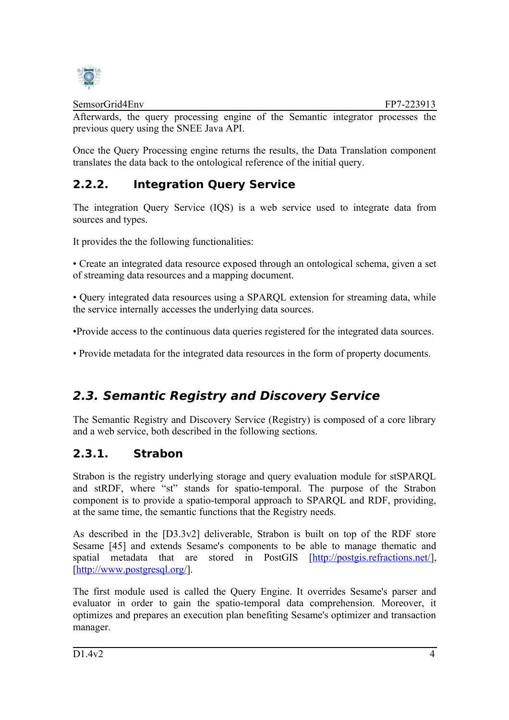

Afterwards, the query processing engine of the Semantic integrator processes the previous query using the SNEE Java API.

Once the Query Processing engine returns the results, the Data Translation component translates the data back to the ontological reference of the initial query.

## <span id="page-8-2"></span>**2.2.2. Integration Query Service**

The integration Query Service (IQS) is a web service used to integrate data from sources and types.

It provides the the following functionalities:

• Create an integrated data resource exposed through an ontological schema, given a set of streaming data resources and a mapping document.

• Query integrated data resources using a SPARQL extension for streaming data, while the service internally accesses the underlying data sources.

•Provide access to the continuous data queries registered for the integrated data sources.

• Provide metadata for the integrated data resources in the form of property documents.

#### <span id="page-8-1"></span>**2.3. Semantic Registry and Discovery Service**

The Semantic Registry and Discovery Service (Registry) is composed of a core library and a web service, both described in the following sections.

#### <span id="page-8-0"></span>**2.3.1. Strabon**

Strabon is the registry underlying storage and query evaluation module for stSPARQL and stRDF, where "st" stands for spatio-temporal. The purpose of the Strabon component is to provide a spatio-temporal approach to SPARQL and RDF, providing, at the same time, the semantic functions that the Registry needs.

As described in the [D3.3v2] deliverable, Strabon is built on top of the RDF store Sesame [45] and extends Sesame's components to be able to manage thematic and spatial metadata that are stored in PostGIS [\[http://postgis.refractions.net/\]](http://postgis.refractions.net/), [\[http://www.postgresql.org/\]](http://www.postgresql.org/).

The first module used is called the Query Engine. It overrides Sesame's parser and evaluator in order to gain the spatio-temporal data comprehension. Moreover, it optimizes and prepares an execution plan benefiting Sesame's optimizer and transaction manager.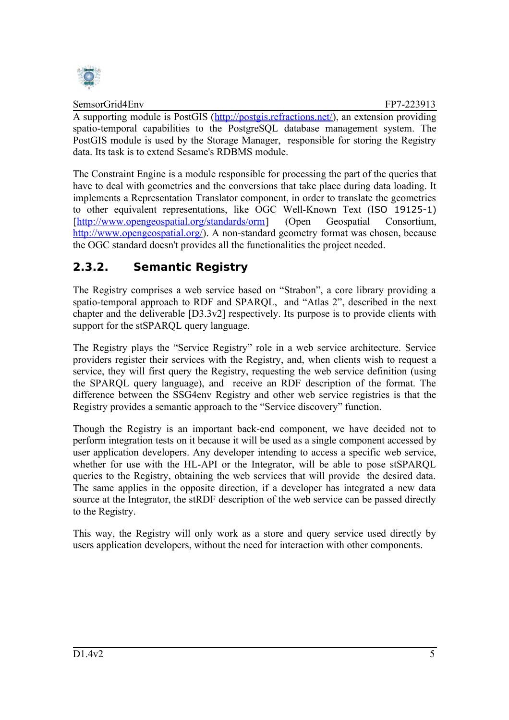

A supporting module is PostGIS [\(http://postgis.refractions.net/\)](http://postgis.refractions.net/), an extension providing spatio-temporal capabilities to the PostgreSQL database management system. The PostGIS module is used by the Storage Manager, responsible for storing the Registry data. Its task is to extend Sesame's RDBMS module.

The Constraint Engine is a module responsible for processing the part of the queries that have to deal with geometries and the conversions that take place during data loading. It implements a Representation Translator component, in order to translate the geometries to other equivalent representations, like OGC Well-Known Text (ISO 19125-1) [<http://www.opengeospatial.org/standards/orm>] (Open Geospatial Consortium, [http://www.opengeospatial.org/\)](http://www.opengeospatial.org/). A non-standard geometry format was chosen, because the OGC standard doesn't provides all the functionalities the project needed.

#### <span id="page-9-0"></span>**2.3.2. Semantic Registry**

The Registry comprises a web service based on "Strabon", a core library providing a spatio-temporal approach to RDF and SPARQL, and "Atlas 2", described in the next chapter and the deliverable [D3.3v2] respectively. Its purpose is to provide clients with support for the stSPARQL query language.

The Registry plays the "Service Registry" role in a web service architecture. Service providers register their services with the Registry, and, when clients wish to request a service, they will first query the Registry, requesting the web service definition (using the SPARQL query language), and receive an RDF description of the format. The difference between the SSG4env Registry and other web service registries is that the Registry provides a semantic approach to the "Service discovery" function.

Though the Registry is an important back-end component, we have decided not to perform integration tests on it because it will be used as a single component accessed by user application developers. Any developer intending to access a specific web service, whether for use with the HL-API or the Integrator, will be able to pose stSPARQL queries to the Registry, obtaining the web services that will provide the desired data. The same applies in the opposite direction, if a developer has integrated a new data source at the Integrator, the stRDF description of the web service can be passed directly to the Registry.

This way, the Registry will only work as a store and query service used directly by users application developers, without the need for interaction with other components.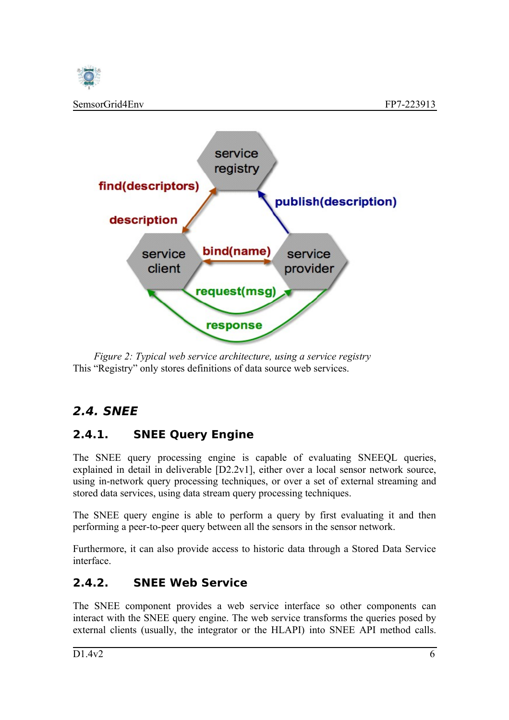



This "Registry" only stores definitions of data source web services. *Figure 2: Typical web service architecture, using a service registry*

#### <span id="page-10-2"></span>**2.4. SNEE**

#### <span id="page-10-1"></span>**2.4.1. SNEE Query Engine**

The SNEE query processing engine is capable of evaluating SNEEQL queries, explained in detail in deliverable [D2.2v1], either over a local sensor network source, using in-network query processing techniques, or over a set of external streaming and stored data services, using data stream query processing techniques.

The SNEE query engine is able to perform a query by first evaluating it and then performing a peer-to-peer query between all the sensors in the sensor network.

Furthermore, it can also provide access to historic data through a Stored Data Service interface.

#### <span id="page-10-0"></span>**2.4.2. SNEE Web Service**

The SNEE component provides a web service interface so other components can interact with the SNEE query engine. The web service transforms the queries posed by external clients (usually, the integrator or the HLAPI) into SNEE API method calls.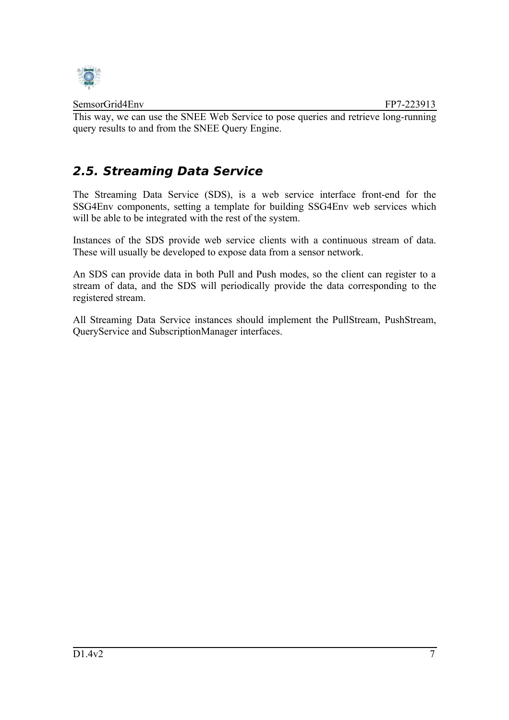

This way, we can use the SNEE Web Service to pose queries and retrieve long-running query results to and from the SNEE Query Engine.

#### <span id="page-11-0"></span>**2.5. Streaming Data Service**

The Streaming Data Service (SDS), is a web service interface front-end for the SSG4Env components, setting a template for building SSG4Env web services which will be able to be integrated with the rest of the system.

Instances of the SDS provide web service clients with a continuous stream of data. These will usually be developed to expose data from a sensor network.

An SDS can provide data in both Pull and Push modes, so the client can register to a stream of data, and the SDS will periodically provide the data corresponding to the registered stream.

All Streaming Data Service instances should implement the PullStream, PushStream, QueryService and SubscriptionManager interfaces.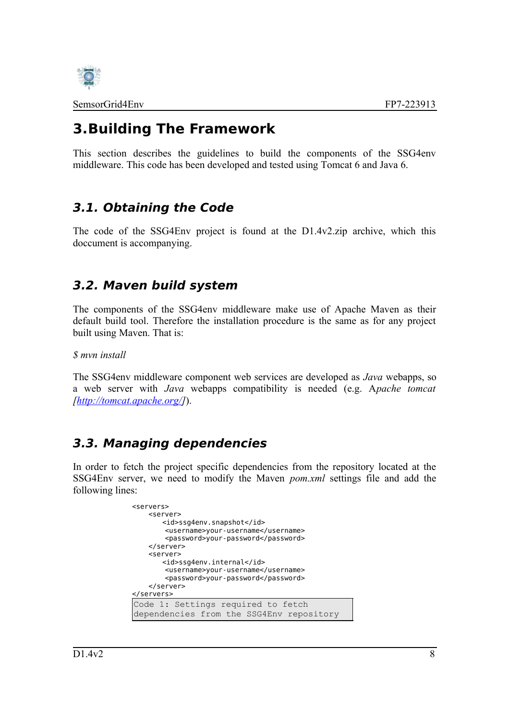

# <span id="page-12-3"></span>**3.Building The Framework**

This section describes the guidelines to build the components of the SSG4env middleware. This code has been developed and tested using Tomcat 6 and Java 6.

## <span id="page-12-2"></span>**3.1. Obtaining the Code**

The code of the SSG4Env project is found at the D1.4v2.zip archive, which this doccument is accompanying.

#### <span id="page-12-1"></span>**3.2. Maven build system**

The components of the SSG4env middleware make use of Apache Maven as their default build tool. Therefore the installation procedure is the same as for any project built using Maven. That is:

*\$ mvn install*

The SSG4env middleware component web services are developed as *Java* webapps, so a web server with *Java* webapps compatibility is needed (e.g. A*pache tomcat [\[http://tomcat.apache.org/\]](http://tomcat.apache.org/)*).

#### <span id="page-12-0"></span>**3.3. Managing dependencies**

In order to fetch the project specific dependencies from the repository located at the SSG4Env server, we need to modify the Maven *pom.xml* settings file and add the following lines:

```
<servers> 
    <server> 
       <id>ssg4env.snapshot</id> 
        <username>your-username</username> 
        <password>your-password</password> 
    </server> 
    <server> 
       <id>ssg4env.internal</id> 
        <username>your-username</username> 
        <password>your-password</password> 
    </server> 
</servers>
Code 1: Settings required to fetch
dependencies from the SSG4Env repository
```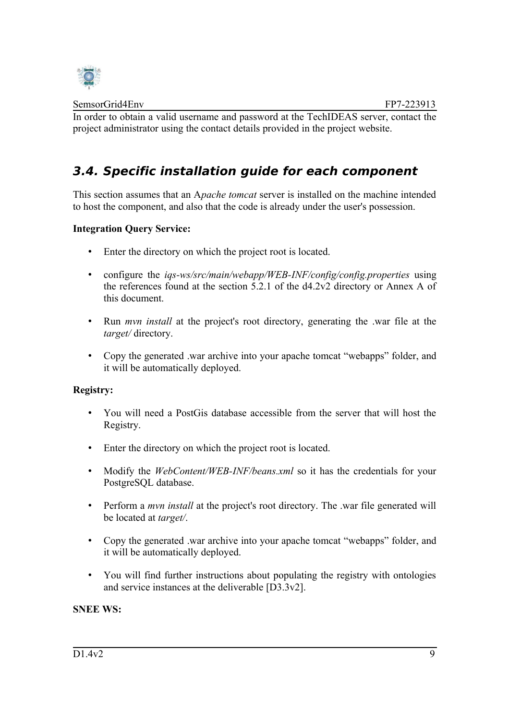

In order to obtain a valid username and password at the TechIDEAS server, contact the project administrator using the contact details provided in the project website.

## <span id="page-13-0"></span>**3.4. Specific installation guide for each component**

This section assumes that an A*pache tomcat* server is installed on the machine intended to host the component, and also that the code is already under the user's possession.

#### **Integration Query Service:**

- Enter the directory on which the project root is located.
- configure the *iqs-ws/src/main/webapp/WEB-INF/config/config.properties* using the references found at the section 5.2.1 of the d4.2v2 directory or Annex A of this document.
- Run *mvn install* at the project's root directory, generating the .war file at the *target/* directory.
- Copy the generated .war archive into your apache tomcat "webapps" folder, and it will be automatically deployed.

#### **Registry:**

- You will need a PostGis database accessible from the server that will host the Registry.
- Enter the directory on which the project root is located.
- Modify the *WebContent/WEB-INF/beans.xml* so it has the credentials for your PostgreSQL database.
- Perform a *mvn install* at the project's root directory. The .war file generated will be located at *target/*.
- Copy the generated .war archive into your apache tomcat "webapps" folder, and it will be automatically deployed.
- You will find further instructions about populating the registry with ontologies and service instances at the deliverable [D3.3v2].

#### **SNEE WS:**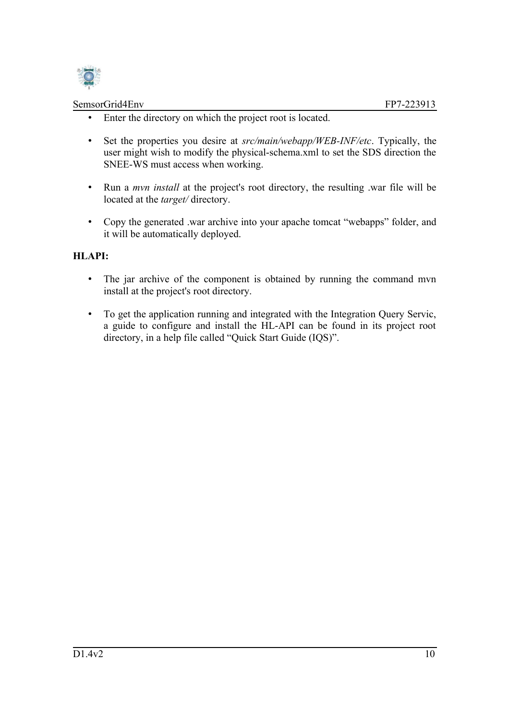

- Enter the directory on which the project root is located.
- Set the properties you desire at *src/main/webapp/WEB-INF/etc*. Typically, the user might wish to modify the physical-schema.xml to set the SDS direction the SNEE-WS must access when working.
- Run a *mvn install* at the project's root directory, the resulting .war file will be located at the *target/* directory.
- Copy the generated .war archive into your apache tomcat "webapps" folder, and it will be automatically deployed.

#### **HLAPI:**

- The jar archive of the component is obtained by running the command mvn install at the project's root directory.
- To get the application running and integrated with the Integration Query Servic, a guide to configure and install the HL-API can be found in its project root directory, in a help file called "Quick Start Guide (IQS)".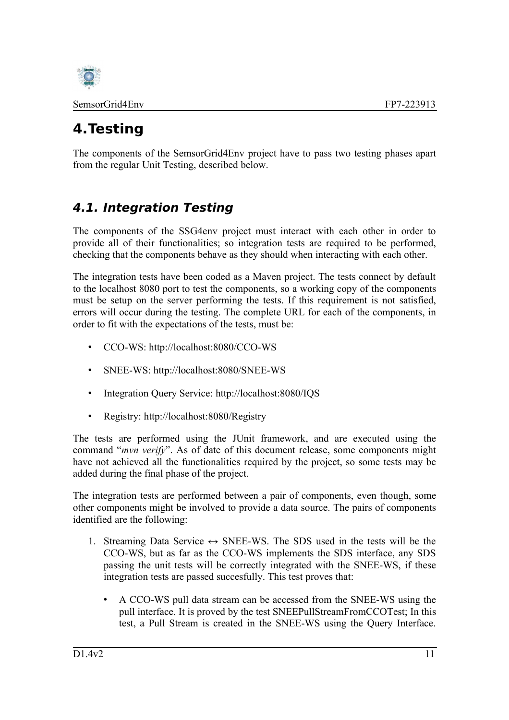

# <span id="page-15-1"></span>**4.Testing**

The components of the SemsorGrid4Env project have to pass two testing phases apart from the regular Unit Testing, described below.

# <span id="page-15-0"></span>**4.1. Integration Testing**

The components of the SSG4env project must interact with each other in order to provide all of their functionalities; so integration tests are required to be performed, checking that the components behave as they should when interacting with each other.

The integration tests have been coded as a Maven project. The tests connect by default to the localhost 8080 port to test the components, so a working copy of the components must be setup on the server performing the tests. If this requirement is not satisfied, errors will occur during the testing. The complete URL for each of the components, in order to fit with the expectations of the tests, must be:

- CCO-WS: http://localhost:8080/CCO-WS
- SNEE-WS: http://localhost:8080/SNEE-WS
- Integration Ouery Service: http://localhost:8080/IOS
- Registry: http://localhost:8080/Registry

The tests are performed using the JUnit framework, and are executed using the command "*mvn verify*". As of date of this document release, some components might have not achieved all the functionalities required by the project, so some tests may be added during the final phase of the project.

The integration tests are performed between a pair of components, even though, some other components might be involved to provide a data source. The pairs of components identified are the following:

- 1. Streaming Data Service  $\leftrightarrow$  SNEE-WS. The SDS used in the tests will be the CCO-WS, but as far as the CCO-WS implements the SDS interface, any SDS passing the unit tests will be correctly integrated with the SNEE-WS, if these integration tests are passed succesfully. This test proves that:
	- A CCO-WS pull data stream can be accessed from the SNEE-WS using the pull interface. It is proved by the test SNEEPullStreamFromCCOTest; In this test, a Pull Stream is created in the SNEE-WS using the Query Interface.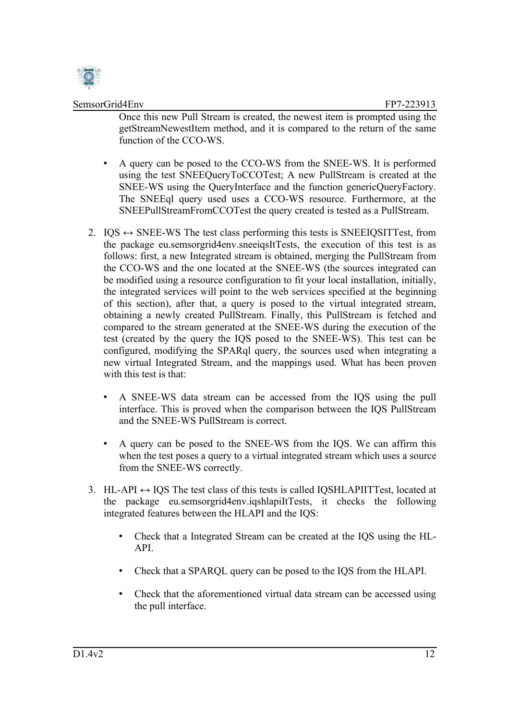

Once this new Pull Stream is created, the newest item is prompted using the getStreamNewestItem method, and it is compared to the return of the same function of the CCO-WS.

- A query can be posed to the CCO-WS from the SNEE-WS. It is performed using the test SNEEQueryToCCOTest; A new PullStream is created at the SNEE-WS using the QueryInterface and the function genericQueryFactory. The SNEEql query used uses a CCO-WS resource. Furthermore, at the SNEEPullStreamFromCCOTest the query created is tested as a PullStream.
- 2.  $IQS \leftrightarrow SNEE\text{-}WS$  The test class performing this tests is SNEEIQSITTest, from the package eu.semsorgrid4env.sneeiqsItTests, the execution of this test is as follows: first, a new Integrated stream is obtained, merging the PullStream from the CCO-WS and the one located at the SNEE-WS (the sources integrated can be modified using a resource configuration to fit your local installation, initially, the integrated services will point to the web services specified at the beginning of this section), after that, a query is posed to the virtual integrated stream, obtaining a newly created PullStream. Finally, this PullStream is fetched and compared to the stream generated at the SNEE-WS during the execution of the test (created by the query the IQS posed to the SNEE-WS). This test can be configured, modifying the SPARql query, the sources used when integrating a new virtual Integrated Stream, and the mappings used. What has been proven with this test is that:
	- A SNEE-WS data stream can be accessed from the IQS using the pull interface. This is proved when the comparison between the IQS PullStream and the SNEE-WS PullStream is correct.
	- A query can be posed to the SNEE-WS from the IQS. We can affirm this when the test poses a query to a virtual integrated stream which uses a source from the SNEE-WS correctly.
- 3. HL-API  $\leftrightarrow$  IQS The test class of this tests is called IQSHLAPIITTest, located at the package eu.semsorgrid4env.iqshlapiItTests, it checks the following integrated features between the HLAPI and the IQS:
	- Check that a Integrated Stream can be created at the IQS using the HL-API.
	- Check that a SPARQL query can be posed to the IQS from the HLAPI.
	- Check that the aforementioned virtual data stream can be accessed using the pull interface.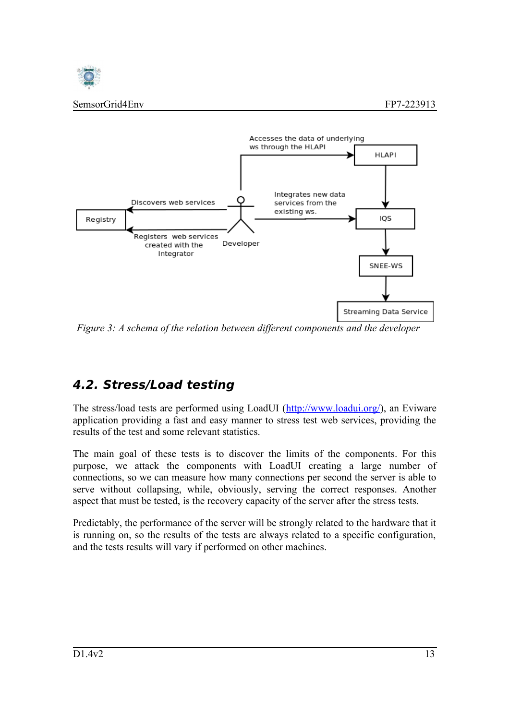



*Figure 3: A schema of the relation between different components and the developer*

# <span id="page-17-0"></span>**4.2. Stress/Load testing**

The stress/load tests are performed using LoadUI [\(http://www.loadui.org/\)](http://www.loadui.org/), an Eviware application providing a fast and easy manner to stress test web services, providing the results of the test and some relevant statistics.

The main goal of these tests is to discover the limits of the components. For this purpose, we attack the components with LoadUI creating a large number of connections, so we can measure how many connections per second the server is able to serve without collapsing, while, obviously, serving the correct responses. Another aspect that must be tested, is the recovery capacity of the server after the stress tests.

Predictably, the performance of the server will be strongly related to the hardware that it is running on, so the results of the tests are always related to a specific configuration, and the tests results will vary if performed on other machines.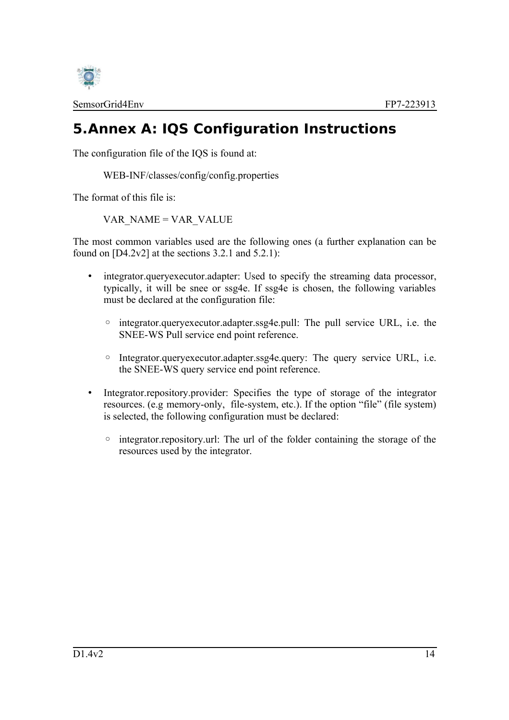

# <span id="page-18-0"></span>**5.Annex A: IQS Configuration Instructions**

The configuration file of the IQS is found at:

WEB-INF/classes/config/config.properties

The format of this file is:

VAR\_NAME = VAR\_VALUE

The most common variables used are the following ones (a further explanation can be found on  $[D4.2v2]$  at the sections 3.2.1 and 5.2.1):

- integrator.queryexecutor.adapter: Used to specify the streaming data processor, typically, it will be snee or ssg4e. If ssg4e is chosen, the following variables must be declared at the configuration file:
	- integrator.queryexecutor.adapter.ssg4e.pull: The pull service URL, i.e. the SNEE-WS Pull service end point reference.
	- Integrator.queryexecutor.adapter.ssg4e.query: The query service URL, i.e. the SNEE-WS query service end point reference.
- Integrator.repository.provider: Specifies the type of storage of the integrator resources. (e.g memory-only, file-system, etc.). If the option "file" (file system) is selected, the following configuration must be declared:
	- integrator.repository.url: The url of the folder containing the storage of the resources used by the integrator.